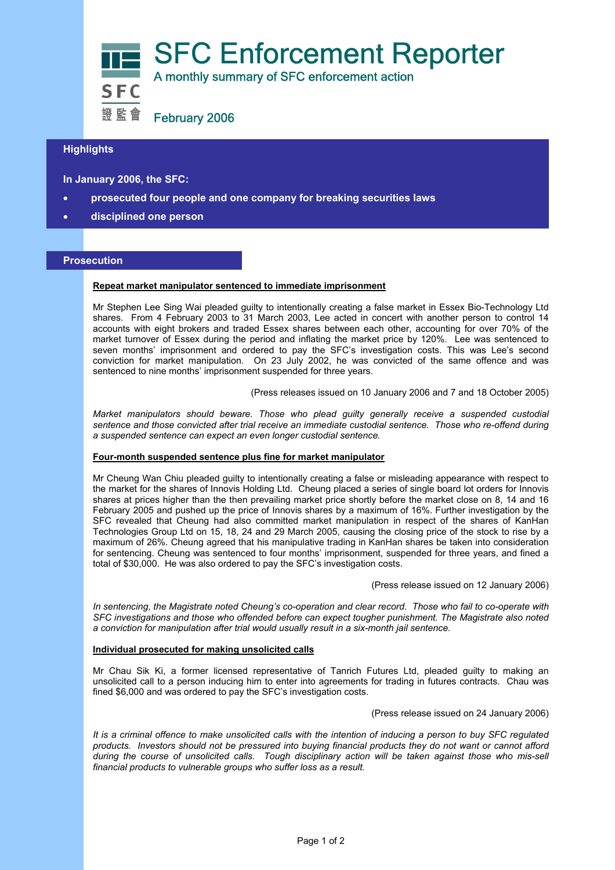

# **Highlights**

**In January 2006, the SFC:** 

- **prosecuted four people and one company for breaking securities laws**
- **disciplined one person**

### **Prosecution**

#### **Repeat market manipulator sentenced to immediate imprisonment**

Mr Stephen Lee Sing Wai pleaded guilty to intentionally creating a false market in Essex Bio-Technology Ltd shares. From 4 February 2003 to 31 March 2003, Lee acted in concert with another person to control 14 accounts with eight brokers and traded Essex shares between each other, accounting for over 70% of the market turnover of Essex during the period and inflating the market price by 120%. Lee was sentenced to seven months' imprisonment and ordered to pay the SFC's investigation costs. This was Lee's second conviction for market manipulation. On 23 July 2002, he was convicted of the same offence and was sentenced to nine months' imprisonment suspended for three years.

(Press releases issued on 10 January 2006 and 7 and 18 October 2005)

*Market manipulators should beware. Those who plead guilty generally receive a suspended custodial sentence and those convicted after trial receive an immediate custodial sentence. Those who re-offend during a suspended sentence can expect an even longer custodial sentence.* 

## **Four-month suspended sentence plus fine for market manipulator**

Mr Cheung Wan Chiu pleaded guilty to intentionally creating a false or misleading appearance with respect to the market for the shares of Innovis Holding Ltd. Cheung placed a series of single board lot orders for Innovis shares at prices higher than the then prevailing market price shortly before the market close on 8, 14 and 16 February 2005 and pushed up the price of Innovis shares by a maximum of 16%. Further investigation by the SFC revealed that Cheung had also committed market manipulation in respect of the shares of KanHan Technologies Group Ltd on 15, 18, 24 and 29 March 2005, causing the closing price of the stock to rise by a maximum of 26%. Cheung agreed that his manipulative trading in KanHan shares be taken into consideration for sentencing. Cheung was sentenced to four months' imprisonment, suspended for three years, and fined a total of \$30,000. He was also ordered to pay the SFC's investigation costs.

(Press release issued on 12 January 2006)

*In sentencing, the Magistrate noted Cheung's co-operation and clear record. Those who fail to co-operate with SFC investigations and those who offended before can expect tougher punishment. The Magistrate also noted a conviction for manipulation after trial would usually result in a six-month jail sentence.* 

## **Individual prosecuted for making unsolicited calls**

Mr Chau Sik Ki, a former licensed representative of Tanrich Futures Ltd, pleaded guilty to making an unsolicited call to a person inducing him to enter into agreements for trading in futures contracts. Chau was fined \$6,000 and was ordered to pay the SFC's investigation costs.

(Press release issued on 24 January 2006)

*It is a criminal offence to make unsolicited calls with the intention of inducing a person to buy SFC regulated products. Investors should not be pressured into buying financial products they do not want or cannot afford during the course of unsolicited calls. Tough disciplinary action will be taken against those who mis-sell financial products to vulnerable groups who suffer loss as a result.*